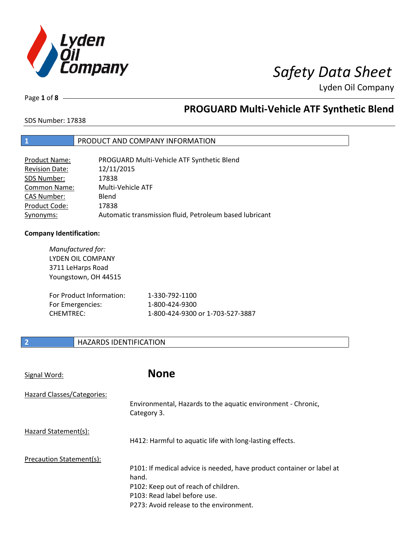

Page **1** of **8**

# **PROGUARD Multi-Vehicle ATF Synthetic Blend**

SDS Number: 17838

## **1** PRODUCT AND COMPANY INFORMATION

| Product Name:         | PROGUARD Multi-Vehicle ATF Synthetic Blend              |
|-----------------------|---------------------------------------------------------|
| <b>Revision Date:</b> | 12/11/2015                                              |
| SDS Number:           | 17838                                                   |
| <b>Common Name:</b>   | Multi-Vehicle ATF                                       |
| <b>CAS Number:</b>    | Blend                                                   |
| Product Code:         | 17838                                                   |
| Synonyms:             | Automatic transmission fluid, Petroleum based lubricant |

### **Company Identification:**

| Manufactured for:<br>LYDEN OIL COMPANY<br>3711 LeHarps Road<br>Youngstown, OH 44515 |                                  |
|-------------------------------------------------------------------------------------|----------------------------------|
| For Product Information:                                                            | 1-330-792-1100                   |
| For Emergencies:                                                                    | 1-800-424-9300                   |
| CHFMTRFC:                                                                           | 1-800-424-9300 or 1-703-527-3887 |

## **2 HAZARDS IDENTIFICATION**

Signal Word: **None**

| Hazard Classes/Categories: |                                                                             |
|----------------------------|-----------------------------------------------------------------------------|
|                            | Environmental, Hazards to the aquatic environment - Chronic,<br>Category 3. |
| Hazard Statement(s):       |                                                                             |
|                            | H412: Harmful to aquatic life with long-lasting effects.                    |
| Precaution Statement(s):   |                                                                             |
|                            | P101: If medical advice is needed, have product container or label at       |
|                            | hand.                                                                       |
|                            | P102: Keep out of reach of children.                                        |
|                            | P103: Read label before use.                                                |
|                            | P273: Avoid release to the environment.                                     |
|                            |                                                                             |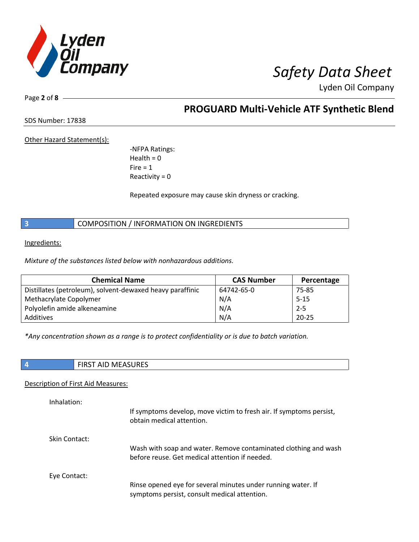

Page **2** of **8**

## **PROGUARD Multi-Vehicle ATF Synthetic Blend**

SDS Number: 17838

Other Hazard Statement(s):

-NFPA Ratings:  $Health = 0$  $Fire = 1$ Reactivity  $= 0$ 

Repeated exposure may cause skin dryness or cracking.

**3** COMPOSITION / INFORMATION ON INGREDIENTS

Ingredients:

*Mixture of the substances listed below with nonhazardous additions.*

| <b>Chemical Name</b>                                      | <b>CAS Number</b> | Percentage |
|-----------------------------------------------------------|-------------------|------------|
| Distillates (petroleum), solvent-dewaxed heavy paraffinic | 64742-65-0        | 75-85      |
| Methacrylate Copolymer                                    | N/A               | $5 - 15$   |
| Polyolefin amide alkeneamine                              | N/A               | $2 - 5$    |
| Additives                                                 | N/A               | $20 - 25$  |

*\*Any concentration shown as a range is to protect confidentiality or is due to batch variation.*

| $\overline{A}$ | <b>CLIDEC</b><br>AID IVIEAJUNEJ<br>,,,,,,, |
|----------------|--------------------------------------------|

Description of First Aid Measures:

| Inhalation:   | If symptoms develop, move victim to fresh air. If symptoms persist,<br>obtain medical attention.                  |
|---------------|-------------------------------------------------------------------------------------------------------------------|
| Skin Contact: | Wash with soap and water. Remove contaminated clothing and wash<br>before reuse. Get medical attention if needed. |
| Eye Contact:  | Rinse opened eye for several minutes under running water. If<br>symptoms persist, consult medical attention.      |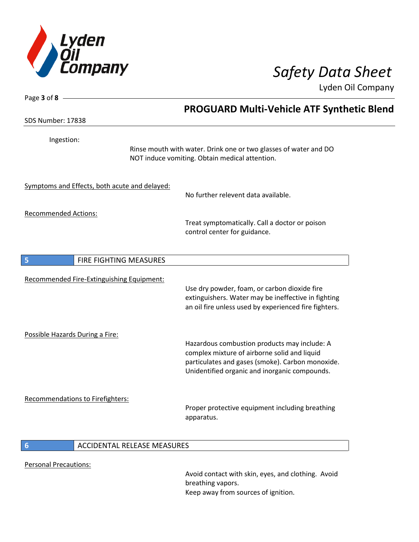

|                                                                                | <b>PROGUARD Multi-Vehicle ATF Synthetic Blend</b>                                                                                                                                                 |
|--------------------------------------------------------------------------------|---------------------------------------------------------------------------------------------------------------------------------------------------------------------------------------------------|
| SDS Number: 17838                                                              |                                                                                                                                                                                                   |
| Ingestion:                                                                     | Rinse mouth with water. Drink one or two glasses of water and DO<br>NOT induce vomiting. Obtain medical attention.                                                                                |
| Symptoms and Effects, both acute and delayed:                                  | No further relevent data available.                                                                                                                                                               |
| <b>Recommended Actions:</b>                                                    | Treat symptomatically. Call a doctor or poison<br>control center for guidance.                                                                                                                    |
| FIRE FIGHTING MEASURES<br>5                                                    |                                                                                                                                                                                                   |
| Recommended Fire-Extinguishing Equipment:                                      | Use dry powder, foam, or carbon dioxide fire<br>extinguishers. Water may be ineffective in fighting<br>an oil fire unless used by experienced fire fighters.                                      |
| Possible Hazards During a Fire:                                                | Hazardous combustion products may include: A<br>complex mixture of airborne solid and liquid<br>particulates and gases (smoke). Carbon monoxide.<br>Unidentified organic and inorganic compounds. |
| Recommendations to Firefighters:                                               | Proper protective equipment including breathing<br>apparatus.                                                                                                                                     |
| ACCIDENTAL RELEASE MEASURES<br>$6\phantom{1}6$<br><b>Personal Precautions:</b> |                                                                                                                                                                                                   |

Avoid contact with skin, eyes, and clothing. Avoid breathing vapors. Keep away from sources of ignition.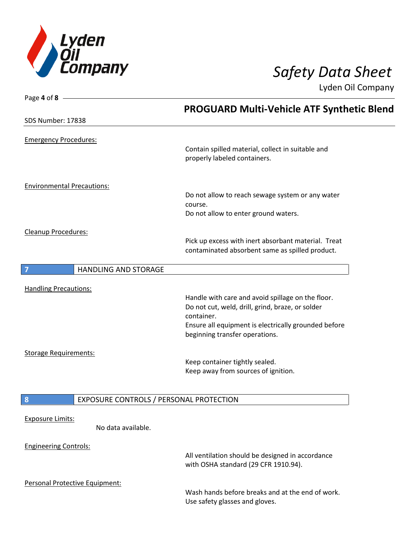

| Page 4 of 8                       |                                         |                                                                                                        |  |
|-----------------------------------|-----------------------------------------|--------------------------------------------------------------------------------------------------------|--|
|                                   |                                         | <b>PROGUARD Multi-Vehicle ATF Synthetic Blend</b>                                                      |  |
| SDS Number: 17838                 |                                         |                                                                                                        |  |
| <b>Emergency Procedures:</b>      |                                         | Contain spilled material, collect in suitable and<br>properly labeled containers.                      |  |
| <b>Environmental Precautions:</b> |                                         |                                                                                                        |  |
|                                   |                                         | Do not allow to reach sewage system or any water<br>course.                                            |  |
|                                   |                                         | Do not allow to enter ground waters.                                                                   |  |
| Cleanup Procedures:               |                                         |                                                                                                        |  |
|                                   |                                         | Pick up excess with inert absorbant material. Treat<br>contaminated absorbent same as spilled product. |  |
| $\overline{\mathbf{z}}$           | <b>HANDLING AND STORAGE</b>             |                                                                                                        |  |
|                                   |                                         |                                                                                                        |  |
| <b>Handling Precautions:</b>      |                                         |                                                                                                        |  |
|                                   |                                         | Handle with care and avoid spillage on the floor.<br>Do not cut, weld, drill, grind, braze, or solder  |  |
|                                   |                                         | container.                                                                                             |  |
|                                   |                                         | Ensure all equipment is electrically grounded before<br>beginning transfer operations.                 |  |
| <b>Storage Requirements:</b>      |                                         |                                                                                                        |  |
|                                   |                                         | Keep container tightly sealed.                                                                         |  |
|                                   |                                         | Keep away from sources of ignition.                                                                    |  |
|                                   |                                         |                                                                                                        |  |
| 8                                 | EXPOSURE CONTROLS / PERSONAL PROTECTION |                                                                                                        |  |
|                                   |                                         |                                                                                                        |  |
| <b>Exposure Limits:</b>           | No data available.                      |                                                                                                        |  |
|                                   |                                         |                                                                                                        |  |
| <b>Engineering Controls:</b>      |                                         | All ventilation should be designed in accordance<br>with OSHA standard (29 CFR 1910.94).               |  |
| Personal Protective Equipment:    |                                         |                                                                                                        |  |
|                                   |                                         | Wash hands before breaks and at the end of work.<br>Use safety glasses and gloves.                     |  |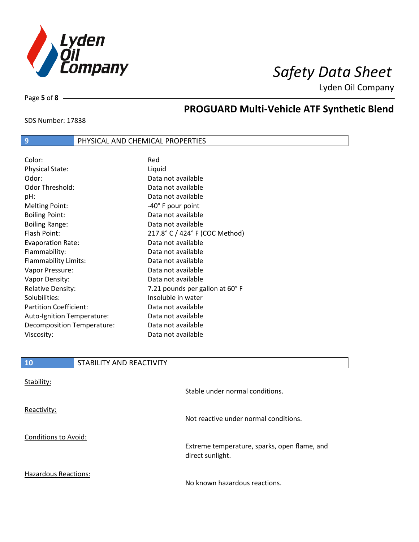

SDS Number: 17838

Page **5** of **8**

# **PROGUARD Multi-Vehicle ATF Synthetic Blend**

## **9** PHYSICAL AND CHEMICAL PROPERTIES

| Color:                        | Red                            |
|-------------------------------|--------------------------------|
| <b>Physical State:</b>        | Liquid                         |
| Odor:                         | Data not available             |
| Odor Threshold:               | Data not available             |
| pH:                           | Data not available             |
| <b>Melting Point:</b>         | -40° F pour point              |
| <b>Boiling Point:</b>         | Data not available             |
| <b>Boiling Range:</b>         | Data not available             |
| Flash Point:                  | 217.8° C / 424° F (COC Method) |
| <b>Evaporation Rate:</b>      | Data not available             |
| Flammability:                 | Data not available             |
| Flammability Limits:          | Data not available             |
| Vapor Pressure:               | Data not available             |
| Vapor Density:                | Data not available             |
| <b>Relative Density:</b>      | 7.21 pounds per gallon at 60°F |
| Solubilities:                 | Insoluble in water             |
| <b>Partition Coefficient:</b> | Data not available             |
| Auto-Ignition Temperature:    | Data not available             |
| Decomposition Temperature:    | Data not available             |
| Viscosity:                    | Data not available             |

| <b>10</b>            | STABILITY AND REACTIVITY |                                                                  |
|----------------------|--------------------------|------------------------------------------------------------------|
| Stability:           |                          | Stable under normal conditions.                                  |
| Reactivity:          |                          | Not reactive under normal conditions.                            |
| Conditions to Avoid: |                          | Extreme temperature, sparks, open flame, and<br>direct sunlight. |

Hazardous Reactions:

No known hazardous reactions.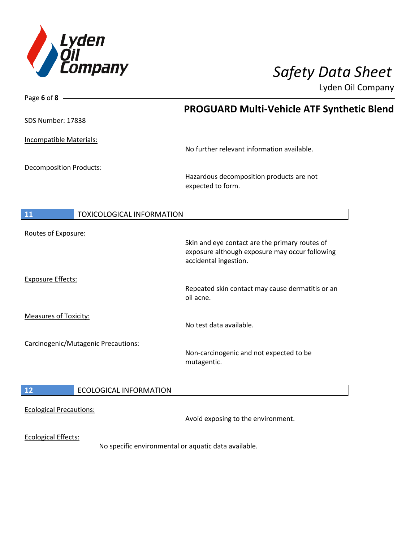

| Page 6 of 8 $-$                               |                                                                                                  |
|-----------------------------------------------|--------------------------------------------------------------------------------------------------|
|                                               | <b>PROGUARD Multi-Vehicle ATF Synthetic Blend</b>                                                |
| SDS Number: 17838                             |                                                                                                  |
| Incompatible Materials:                       |                                                                                                  |
|                                               | No further relevant information available.                                                       |
| Decomposition Products:                       |                                                                                                  |
|                                               | Hazardous decomposition products are not<br>expected to form.                                    |
| <b>11</b><br><b>TOXICOLOGICAL INFORMATION</b> |                                                                                                  |
| Routes of Exposure:                           |                                                                                                  |
|                                               | Skin and eye contact are the primary routes of<br>exposure although exposure may occur following |
|                                               | accidental ingestion.                                                                            |
| <b>Exposure Effects:</b>                      |                                                                                                  |
|                                               | Repeated skin contact may cause dermatitis or an<br>oil acne.                                    |
| <b>Measures of Toxicity:</b>                  |                                                                                                  |
|                                               | No test data available.                                                                          |
| Carcinogenic/Mutagenic Precautions:           | Non-carcinogenic and not expected to be                                                          |
|                                               | mutagentic.                                                                                      |
| $12$<br><b>ECOLOGICAL INFORMATION</b>         |                                                                                                  |
| <b>Ecological Precautions:</b>                |                                                                                                  |
|                                               | Avoid exposing to the environment.                                                               |
| <b>Ecological Effects:</b>                    | No specific environmental or aquatic data available.                                             |
|                                               |                                                                                                  |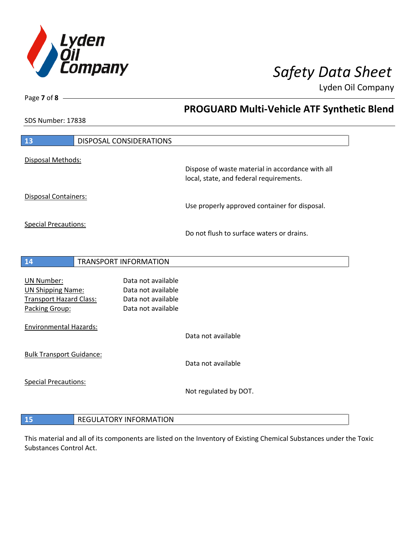

**PROGUARD Multi-Vehicle ATF Synthetic Blend**

Lyden Oil Company

SDS Number: 17838

Page **7** of **8**

 $\overline{\phantom{a}}$ 

| 13                                                                                                |  | DISPOSAL CONSIDERATIONS                                                              |                                                                                             |
|---------------------------------------------------------------------------------------------------|--|--------------------------------------------------------------------------------------|---------------------------------------------------------------------------------------------|
| Disposal Methods:                                                                                 |  |                                                                                      | Dispose of waste material in accordance with all<br>local, state, and federal requirements. |
| <b>Disposal Containers:</b>                                                                       |  |                                                                                      | Use properly approved container for disposal.                                               |
| <b>Special Precautions:</b>                                                                       |  |                                                                                      | Do not flush to surface waters or drains.                                                   |
| 14                                                                                                |  | <b>TRANSPORT INFORMATION</b>                                                         |                                                                                             |
| <b>UN Number:</b><br><b>UN Shipping Name:</b><br><b>Transport Hazard Class:</b><br>Packing Group: |  | Data not available<br>Data not available<br>Data not available<br>Data not available |                                                                                             |
| <b>Environmental Hazards:</b>                                                                     |  |                                                                                      | Data not available                                                                          |
| <b>Bulk Transport Guidance:</b>                                                                   |  |                                                                                      | Data not available                                                                          |
| <b>Special Precautions:</b>                                                                       |  |                                                                                      | Not regulated by DOT.                                                                       |
| 15                                                                                                |  | <b>REGULATORY INFORMATION</b>                                                        |                                                                                             |

This material and all of its components are listed on the Inventory of Existing Chemical Substances under the Toxic Substances Control Act.